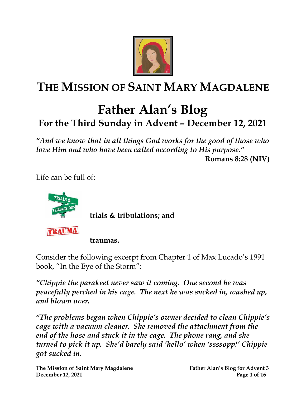

# **THE MISSION OF SAINT MARY MAGDALENE**

## **Father Alan's Blog For the Third Sunday in Advent – December 12, 2021**

*"And we know that in all things God works for the good of those who love Him and who have been called according to His purpose."*

**Romans 8:28 (NIV)**

Life can be full of:



**trials & tribulations; and**

TRAUMA

**traumas.** 

Consider the following excerpt from Chapter 1 of Max Lucado's 1991 book, "In the Eye of the Storm":

*"Chippie the parakeet never saw it coming. One second he was peacefully perched in his cage. The next he was sucked in, washed up, and blown over.*

*"The problems began when Chippie's owner decided to clean Chippie's cage with a vacuum cleaner. She removed the attachment from the end of the hose and stuck it in the cage. The phone rang, and she turned to pick it up. She'd barely said 'hello' when 'ssssopp!' Chippie got sucked in.*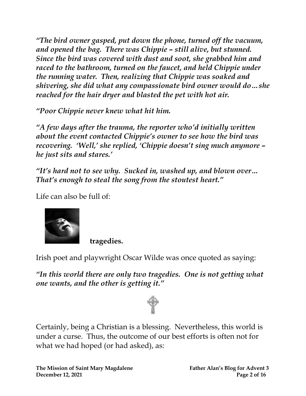*"The bird owner gasped, put down the phone, turned off the vacuum, and opened the bag. There was Chippie – still alive, but stunned. Since the bird was covered with dust and soot, she grabbed him and raced to the bathroom, turned on the faucet, and held Chippie under the running water. Then, realizing that Chippie was soaked and shivering, she did what any compassionate bird owner would do…she reached for the hair dryer and blasted the pet with hot air.*

*"Poor Chippie never knew what hit him.*

*"A few days after the trauma, the reporter who'd initially written about the event contacted Chippie's owner to see how the bird was recovering. 'Well,' she replied, 'Chippie doesn't sing much anymore – he just sits and stares.'*

*"It's hard not to see why. Sucked in, washed up, and blown over… That's enough to steal the song from the stoutest heart."*

Life can also be full of:



**tragedies.** 

Irish poet and playwright Oscar Wilde was once quoted as saying:

*"In this world there are only two tragedies. One is not getting what one wants, and the other is getting it."*



Certainly, being a Christian is a blessing. Nevertheless, this world is under a curse. Thus, the outcome of our best efforts is often not for what we had hoped (or had asked), as: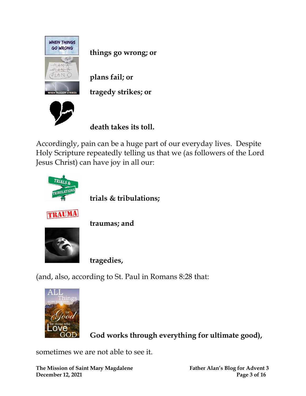

**things go wrong; or**

**plans fail; or**

**tragedy strikes; or**



**death takes its toll.**

Accordingly, pain can be a huge part of our everyday lives. Despite Holy Scripture repeatedly telling us that we (as followers of the Lord Jesus Christ) can have joy in all our:



**trials & tribulations;**



**traumas; and** 



**tragedies,**

(and, also, according to St. Paul in Romans 8:28 that:



**God works through everything for ultimate good),**

sometimes we are not able to see it.

**The Mission of Saint Mary Magdalene Father Alan's Blog for Advent 3 December 12, 2021 Page 3 of 16**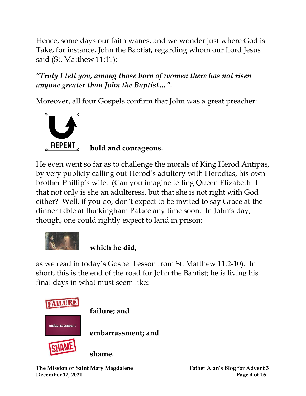Hence, some days our faith wanes, and we wonder just where God is. Take, for instance, John the Baptist, regarding whom our Lord Jesus said (St. Matthew 11:11):

## *"Truly I tell you, among those born of women there has not risen anyone greater than John the Baptist…".*

Moreover, all four Gospels confirm that John was a great preacher:



**bold and courageous.**

He even went so far as to challenge the morals of King Herod Antipas, by very publicly calling out Herod's adultery with Herodias, his own brother Phillip's wife. (Can you imagine telling Queen Elizabeth II that not only is she an adulteress, but that she is not right with God either? Well, if you do, don't expect to be invited to say Grace at the dinner table at Buckingham Palace any time soon. In John's day, though, one could rightly expect to land in prison:



## **which he did,**

as we read in today's Gospel Lesson from St. Matthew 11:2-10). In short, this is the end of the road for John the Baptist; he is living his final days in what must seem like:

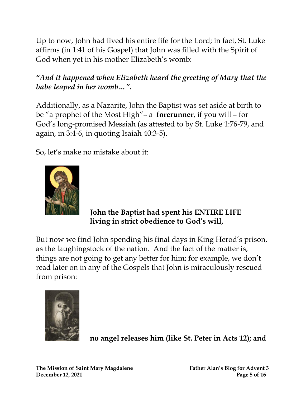Up to now, John had lived his entire life for the Lord; in fact, St. Luke affirms (in 1:41 of his Gospel) that John was filled with the Spirit of God when yet in his mother Elizabeth's womb:

## *"And it happened when Elizabeth heard the greeting of Mary that the babe leaped in her womb…".*

Additionally, as a Nazarite, John the Baptist was set aside at birth to be "a prophet of the Most High"– a **forerunner**, if you will – for God's long-promised Messiah (as attested to by St. Luke 1:76-79, and again, in 3:4-6, in quoting Isaiah 40:3-5).

So, let's make no mistake about it:



#### **John the Baptist had spent his ENTIRE LIFE living in strict obedience to God's will,**

But now we find John spending his final days in King Herod's prison, as the laughingstock of the nation. And the fact of the matter is, things are not going to get any better for him; for example, we don't read later on in any of the Gospels that John is miraculously rescued from prison:



**no angel releases him (like St. Peter in Acts 12); and**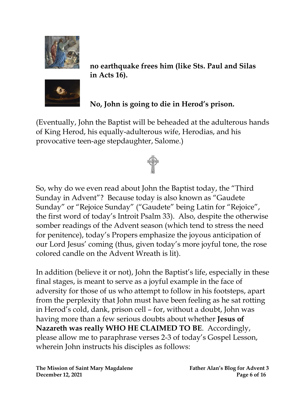



**no earthquake frees him (like Sts. Paul and Silas in Acts 16).**

## **No, John is going to die in Herod's prison.**

(Eventually, John the Baptist will be beheaded at the adulterous hands of King Herod, his equally-adulterous wife, Herodias, and his provocative teen-age stepdaughter, Salome.)

So, why do we even read about John the Baptist today, the "Third Sunday in Advent"? Because today is also known as "Gaudete Sunday" or "Rejoice Sunday" ("Gaudete" being Latin for "Rejoice", the first word of today's Introit Psalm 33). Also, despite the otherwise somber readings of the Advent season (which tend to stress the need for penitence), today's Propers emphasize the joyous anticipation of our Lord Jesus' coming (thus, given today's more joyful tone, the rose colored candle on the Advent Wreath is lit).

In addition (believe it or not), John the Baptist's life, especially in these final stages, is meant to serve as a joyful example in the face of adversity for those of us who attempt to follow in his footsteps, apart from the perplexity that John must have been feeling as he sat rotting in Herod's cold, dank, prison cell – for, without a doubt, John was having more than a few serious doubts about whether **Jesus of Nazareth was really WHO HE CLAIMED TO BE**. Accordingly, please allow me to paraphrase verses 2-3 of today's Gospel Lesson, wherein John instructs his disciples as follows: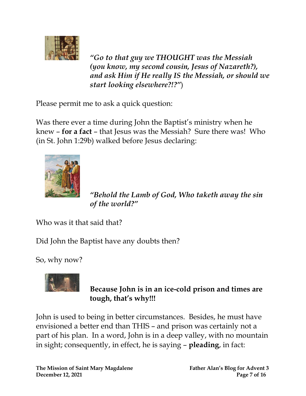

*"Go to that guy we THOUGHT was the Messiah (you know, my second cousin, Jesus of Nazareth?), and ask Him if He really IS the Messiah, or should we start looking elsewhere?!?"*)

Please permit me to ask a quick question:

Was there ever a time during John the Baptist's ministry when he knew – **for a fact** – that Jesus was the Messiah? Sure there was! Who (in St. John 1:29b) walked before Jesus declaring:



*"Behold the Lamb of God, Who taketh away the sin of the world?"* 

Who was it that said that?

Did John the Baptist have any doubts then?

So, why now?



**Because John is in an ice-cold prison and times are tough, that's why!!!**

John is used to being in better circumstances. Besides, he must have envisioned a better end than THIS – and prison was certainly not a part of his plan. In a word, John is in a deep valley, with no mountain in sight; consequently, in effect, he is saying – **pleading**, in fact: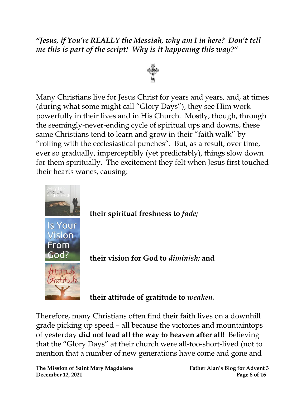#### *"Jesus, if You're REALLY the Messiah, why am I in here? Don't tell me this is part of the script! Why is it happening this way?"*



Many Christians live for Jesus Christ for years and years, and, at times (during what some might call "Glory Days"), they see Him work powerfully in their lives and in His Church. Mostly, though, through the seemingly-never-ending cycle of spiritual ups and downs, these same Christians tend to learn and grow in their "faith walk" by "rolling with the ecclesiastical punches". But, as a result, over time, ever so gradually, imperceptibly (yet predictably), things slow down for them spiritually. The excitement they felt when Jesus first touched their hearts wanes, causing:



**their vision for God to** *diminish;* **and**

**their attitude of gratitude to** *weaken.*

Therefore, many Christians often find their faith lives on a downhill grade picking up speed – all because the victories and mountaintops of yesterday **did not lead all the way to heaven after all!** Believing that the "Glory Days" at their church were all-too-short-lived (not to mention that a number of new generations have come and gone and

**The Mission of Saint Mary Magdalene Father Alan's Blog for Advent 3 December 12, 2021 Page 8 of 16**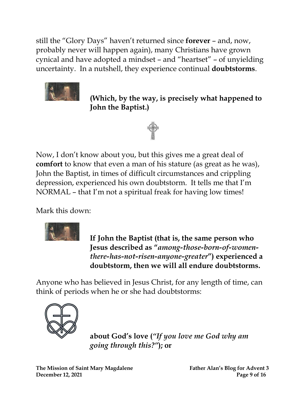still the "Glory Days" haven't returned since **forever** – and, now, probably never will happen again), many Christians have grown cynical and have adopted a mindset – and "heartset" – of unyielding uncertainty. In a nutshell, they experience continual **doubtstorms**.



**(Which, by the way, is precisely what happened to John the Baptist.)**



Now, I don't know about you, but this gives me a great deal of **comfort** to know that even a man of his stature (as great as he was), John the Baptist, in times of difficult circumstances and crippling depression, experienced his own doubtstorm. It tells me that I'm NORMAL – that I'm not a spiritual freak for having low times!

Mark this down:



**If John the Baptist (that is, the same person who Jesus described as "***among-those-born-of-womenthere-has-not-risen-anyone-greater***") experienced a doubtstorm, then we will all endure doubtstorms.**

Anyone who has believed in Jesus Christ, for any length of time, can think of periods when he or she had doubtstorms:



**about God's love (***"If you love me God why am going through this?"***); or**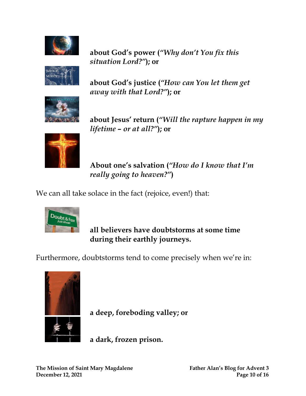

**about God's power (***"Why don't You fix this situation Lord?"***); or**



**about God's justice (***"How can You let them get away with that Lord?"***); or**



**about Jesus' return (***"Will the rapture happen in my lifetime – or at all?"***); or**



**About one's salvation (***"How do I know that I'm really going to heaven?"***)**

We can all take solace in the fact (rejoice, even!) that:



**all believers have doubtstorms at some time during their earthly journeys.**

Furthermore, doubtstorms tend to come precisely when we're in:



**a deep, foreboding valley; or**

**a dark, frozen prison.**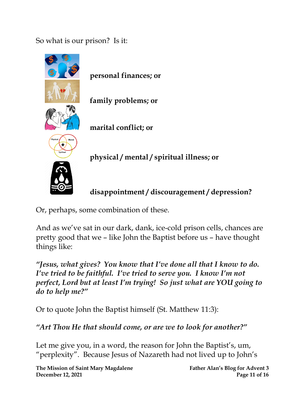So what is our prison? Is it:



**personal finances; or**

**family problems; or**

**marital conflict; or**



**physical / mental / spiritual illness; or**

**disappointment / discouragement / depression?**

Or, perhaps, some combination of these.

And as we've sat in our dark, dank, ice-cold prison cells, chances are pretty good that we – like John the Baptist before us – have thought things like:

*"Jesus, what gives? You know that I've done all that I know to do. I've tried to be faithful. I've tried to serve you. I know I'm not perfect, Lord but at least I'm trying! So just what are YOU going to do to help me?"* 

Or to quote John the Baptist himself (St. Matthew 11:3):

*"Art Thou He that should come, or are we to look for another?"*

Let me give you, in a word, the reason for John the Baptist's, um, "perplexity". Because Jesus of Nazareth had not lived up to John's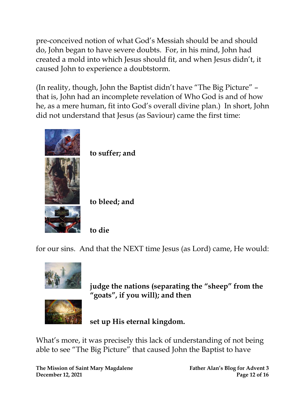pre-conceived notion of what God's Messiah should be and should do, John began to have severe doubts. For, in his mind, John had created a mold into which Jesus should fit, and when Jesus didn't, it caused John to experience a doubtstorm.

(In reality, though, John the Baptist didn't have "The Big Picture" – that is, John had an incomplete revelation of Who God is and of how he, as a mere human, fit into God's overall divine plan.) In short, John did not understand that Jesus (as Saviour) came the first time:



**to suffer; and**

**to bleed; and**

**to die**

for our sins. And that the NEXT time Jesus (as Lord) came, He would:



**judge the nations (separating the "sheep" from the "goats", if you will); and then**



**set up His eternal kingdom.**

What's more, it was precisely this lack of understanding of not being able to see "The Big Picture" that caused John the Baptist to have

**The Mission of Saint Mary Magdalene Father Alan's Blog for Advent 3 December 12, 2021 Page 12 of 16**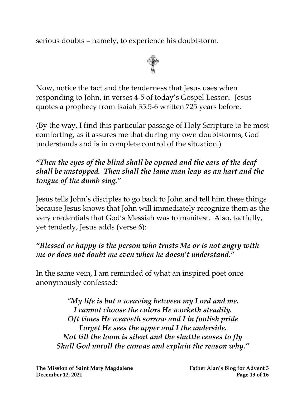serious doubts – namely, to experience his doubtstorm.



Now, notice the tact and the tenderness that Jesus uses when responding to John, in verses 4-5 of today's Gospel Lesson. Jesus quotes a prophecy from Isaiah 35:5-6 written 725 years before.

(By the way, I find this particular passage of Holy Scripture to be most comforting, as it assures me that during my own doubtstorms, God understands and is in complete control of the situation.)

## *"Then the eyes of the blind shall be opened and the ears of the deaf shall be unstopped. Then shall the lame man leap as an hart and the tongue of the dumb sing."*

Jesus tells John's disciples to go back to John and tell him these things because Jesus knows that John will immediately recognize them as the very credentials that God's Messiah was to manifest. Also, tactfully, yet tenderly, Jesus adds (verse 6):

## *"Blessed or happy is the person who trusts Me or is not angry with me or does not doubt me even when he doesn't understand."*

In the same vein, I am reminded of what an inspired poet once anonymously confessed:

*"My life is but a weaving between my Lord and me. I cannot choose the colors He worketh steadily. Oft times He weaveth sorrow and I in foolish pride Forget He sees the upper and I the underside. Not till the loom is silent and the shuttle ceases to fly Shall God unroll the canvas and explain the reason why."*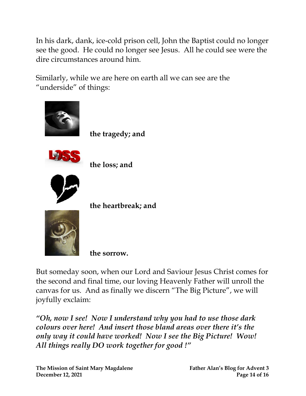In his dark, dank, ice-cold prison cell, John the Baptist could no longer see the good. He could no longer see Jesus. All he could see were the dire circumstances around him.

Similarly, while we are here on earth all we can see are the "underside" of things:



**the tragedy; and**



**the loss; and**



**the heartbreak; and**



**the sorrow.**

But someday soon, when our Lord and Saviour Jesus Christ comes for the second and final time, our loving Heavenly Father will unroll the canvas for us. And as finally we discern "The Big Picture", we will joyfully exclaim:

*"Oh, now I see! Now I understand why you had to use those dark colours over here! And insert those bland areas over there it's the only way it could have worked! Now I see the Big Picture! Wow! All things really DO work together for good !"*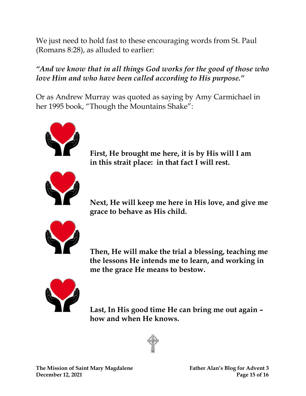We just need to hold fast to these encouraging words from St. Paul (Romans 8:28), as alluded to earlier:

## *"And we know that in all things God works for the good of those who love Him and who have been called according to His purpose."*

Or as Andrew Murray was quoted as saying by Amy Carmichael in her 1995 book, "Though the Mountains Shake":



**First, He brought me here, it is by His will I am in this strait place: in that fact I will rest.** 



**Next, He will keep me here in His love, and give me grace to behave as His child.** 



**Then, He will make the trial a blessing, teaching me the lessons He intends me to learn, and working in me the grace He means to bestow.** 



**Last, In His good time He can bring me out again – how and when He knows.**